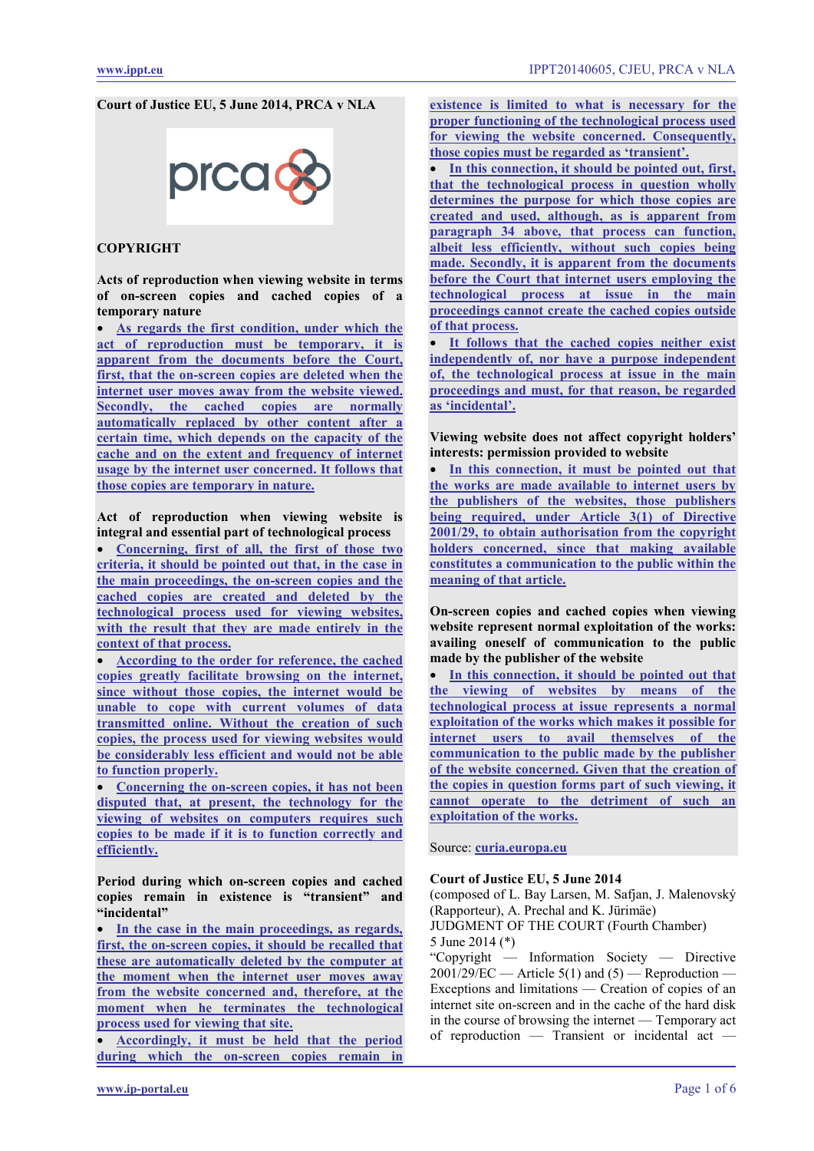## **Court of Justice EU, 5 June 2014, PRCA v NLA**

# prca

# **COPYRIGHT**

**Acts of reproduction when viewing website in terms of on-screen copies and cached copies of a temporary nature**

• **[As regards the first condition, under which the](#page-3-0)  [act of reproduction must be temporary, it is](#page-3-0)  [apparent from the documents before the Court,](#page-3-0)  [first, that the on-screen copies are deleted when the](#page-3-0)  [internet user moves away from the website viewed.](#page-3-0)  [Secondly, the cached copies are normally](#page-3-0)  [automatically replaced by other content after a](#page-3-0)  [certain time, which depends on the capacity of the](#page-3-0)  [cache and on the extent and frequency of internet](#page-3-0)  [usage by the internet user concerned. It follows that](#page-3-0)  [those copies are temporary in nature.](#page-3-0)**

**Act of reproduction when viewing website is integral and essential part of technological process** 

• **[Concerning, first of all, the first of those two](#page-3-1)  [criteria, it should be pointed out that, in the case in](#page-3-1)  [the main proceedings, the on-screen copies and the](#page-3-1)  [cached copies are created and deleted by the](#page-3-1)  [technological process used for viewing websites,](#page-3-1)  [with the result that they are made entirely in the](#page-3-1)  [context of that process.](#page-3-1)**

• **[According to the order for reference, the cached](#page-3-2)  [copies greatly facilitate browsing on the internet,](#page-3-2)  [since without those copies, the internet would be](#page-3-2)  [unable to cope with current volumes of data](#page-3-2)  [transmitted online. Without the creation of such](#page-3-2)  [copies, the process used for viewing websites would](#page-3-2)  [be considerably less efficient and would not be able](#page-3-2)  [to function properly.](#page-3-2)**

• **[Concerning the on-screen copies, it has not been](#page-4-0)  [disputed that, at present, the technology for the](#page-4-0)  [viewing of websites on computers requires such](#page-4-0)  [copies to be made if it is to function correctly and](#page-4-0)  [efficiently.](#page-4-0)**

**Period during which on-screen copies and cached copies remain in existence is "transient" and "incidental"**

In the case in the main proceedings, as regards, **[first, the on-screen copies, it should be recalled that](#page-4-1)  [these are automatically deleted by the computer at](#page-4-1)  [the moment when the internet user moves away](#page-4-1)  [from the website concerned and, therefore, at the](#page-4-1)  [moment when he terminates the technological](#page-4-1)  [process used for viewing that site.](#page-4-1)**

• **[Accordingly, it must be held that the period](#page-4-2)  [during which the on-screen copies remain in](#page-4-2)**  **[existence is limited to what is necessary for the](#page-4-2)  [proper functioning of the technological process used](#page-4-2)  [for viewing the website concerned. Consequently,](#page-4-2)  [those copies must be regarded as 'transient'.](#page-4-2)**

In this connection, it should be pointed out, first, **[that the technological process in question wholly](#page-4-3)  [determines the purpose for which those copies are](#page-4-3)  [created and used, although, as is apparent from](#page-4-3)  [paragraph 34 above, that process can function,](#page-4-3)  [albeit less efficiently, without such copies being](#page-4-3)  [made. Secondly, it is apparent from the documents](#page-4-3)  [before the Court that internet users employing the](#page-4-3)  [technological process at issue in the main](#page-4-3)  [proceedings cannot create the cached copies outside](#page-4-3)  [of that process.](#page-4-3)**

• **[It follows that the cached copies neither exist](#page-4-4)  [independently of, nor have a purpose independent](#page-4-4)  [of, the technological process at issue in the main](#page-4-4)  [proceedings and must, for that reason, be regarded](#page-4-4)  [as 'incidental'.](#page-4-4)**

**Viewing website does not affect copyright holders' interests: permission provided to website**

In this connection, it must be pointed out that **[the works are made available to internet users by](#page-5-0)  [the publishers of the websites, those publishers](#page-5-0)  [being required, under Article 3\(1\) of Directive](#page-5-0)  [2001/29, to obtain authorisation from the copyright](#page-5-0)  [holders concerned, since that making available](#page-5-0)  [constitutes a communication to the public within the](#page-5-0)  [meaning of that article.](#page-5-0)**

**On-screen copies and cached copies when viewing website represent normal exploitation of the works: availing oneself of communication to the public made by the publisher of the website**

In this connection, it should be pointed out that **[the viewing of websites by means of the](#page-5-1)  [technological process at issue represents a normal](#page-5-1)  [exploitation of the works which makes it possible for](#page-5-1)  [internet users to avail themselves of the](#page-5-1)  [communication to the public made by the publisher](#page-5-1)  [of the website concerned. Given that the creation of](#page-5-1)  [the copies in question forms part of such viewing, it](#page-5-1)  [cannot operate to the detriment of such an](#page-5-1)  [exploitation of the works.](#page-5-1)**

Source: **[curia.europa.eu](http://curia.europa.eu/juris/liste.jsf?language=en&jur=C,T,F&num=C-360/13&td=ALL)**

#### **Court of Justice EU, 5 June 2014**

(composed of L. Bay Larsen, M. Safjan, J. Malenovský (Rapporteur), A. Prechal and K. Jürimäe) JUDGMENT OF THE COURT (Fourth Chamber) 5 June 2014 (\*)

"Copyright — Information Society — Directive  $2001/29/EC$  — Article 5(1) and (5) — Reproduction — Exceptions and limitations — Creation of copies of an internet site on-screen and in the cache of the hard disk in the course of browsing the internet — Temporary act of reproduction — Transient or incidental act —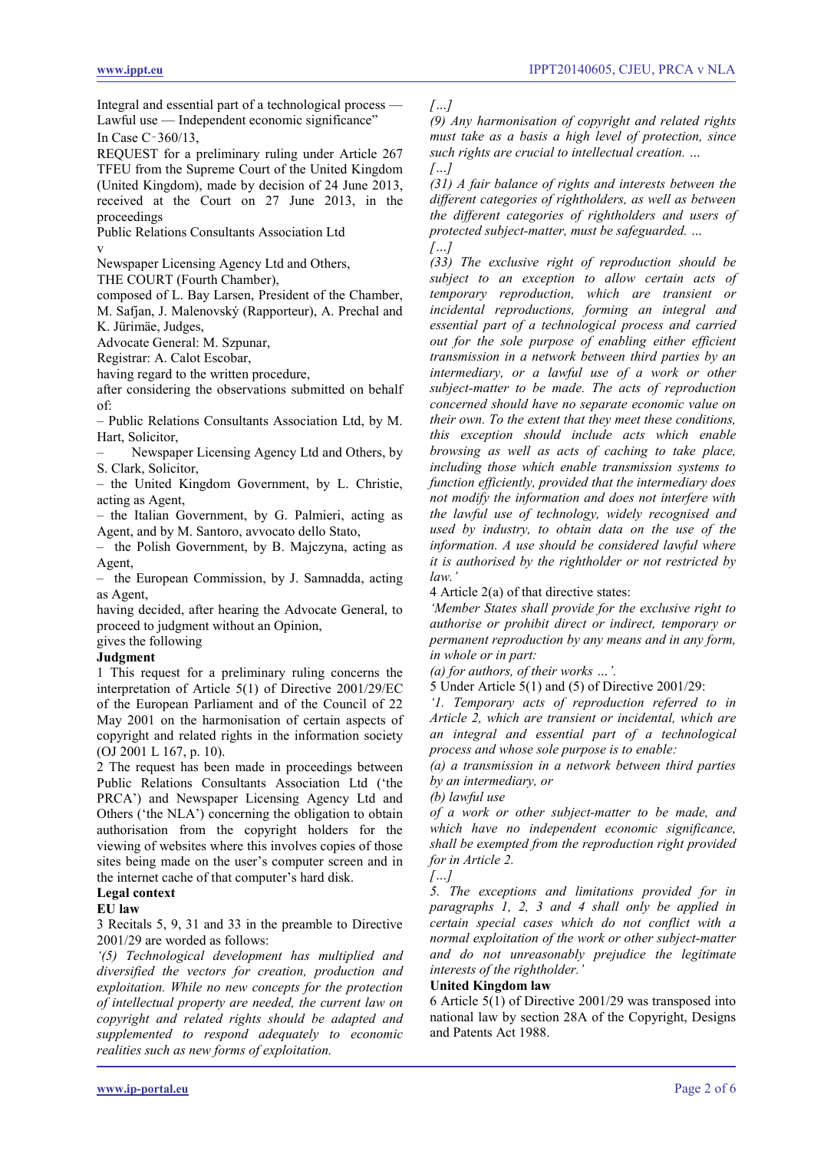Integral and essential part of a technological process — Lawful use — Independent economic significance" In Case C‑360/13,

REQUEST for a preliminary ruling under Article 267 TFEU from the Supreme Court of the United Kingdom (United Kingdom), made by decision of 24 June 2013, received at the Court on 27 June 2013, in the proceedings

Public Relations Consultants Association Ltd v

Newspaper Licensing Agency Ltd and Others,

THE COURT (Fourth Chamber),

composed of L. Bay Larsen, President of the Chamber, M. Safjan, J. Malenovský (Rapporteur), A. Prechal and K. Jürimäe, Judges,

Advocate General: M. Szpunar,

Registrar: A. Calot Escobar,

having regard to the written procedure,

after considering the observations submitted on behalf of:

– Public Relations Consultants Association Ltd, by M. Hart, Solicitor,

– Newspaper Licensing Agency Ltd and Others, by S. Clark, Solicitor,

– the United Kingdom Government, by L. Christie, acting as Agent,

– the Italian Government, by G. Palmieri, acting as Agent, and by M. Santoro, avvocato dello Stato,

– the Polish Government, by B. Majczyna, acting as Agent,

– the European Commission, by J. Samnadda, acting as Agent,

having decided, after hearing the Advocate General, to proceed to judgment without an Opinion,

# gives the following

# **Judgment**

1 This request for a preliminary ruling concerns the interpretation of Article 5(1) of Directive 2001/29/EC of the European Parliament and of the Council of 22 May 2001 on the harmonisation of certain aspects of copyright and related rights in the information society (OJ 2001 L 167, p. 10).

2 The request has been made in proceedings between Public Relations Consultants Association Ltd ('the PRCA') and Newspaper Licensing Agency Ltd and Others ('the NLA') concerning the obligation to obtain authorisation from the copyright holders for the viewing of websites where this involves copies of those sites being made on the user's computer screen and in the internet cache of that computer's hard disk.

# **Legal context**

#### **EU law**

3 Recitals 5, 9, 31 and 33 in the preamble to Directive 2001/29 are worded as follows:

*'(5) Technological development has multiplied and diversified the vectors for creation, production and exploitation. While no new concepts for the protection of intellectual property are needed, the current law on copyright and related rights should be adapted and supplemented to respond adequately to economic realities such as new forms of exploitation.*

*[…]*

*(9) Any harmonisation of copyright and related rights must take as a basis a high level of protection, since such rights are crucial to intellectual creation. … […]*

*(31) A fair balance of rights and interests between the different categories of rightholders, as well as between the different categories of rightholders and users of protected subject-matter, must be safeguarded. … […]*

*(33) The exclusive right of reproduction should be subject to an exception to allow certain acts of temporary reproduction, which are transient or incidental reproductions, forming an integral and essential part of a technological process and carried out for the sole purpose of enabling either efficient transmission in a network between third parties by an intermediary, or a lawful use of a work or other subject-matter to be made. The acts of reproduction concerned should have no separate economic value on their own. To the extent that they meet these conditions, this exception should include acts which enable browsing as well as acts of caching to take place, including those which enable transmission systems to function efficiently, provided that the intermediary does not modify the information and does not interfere with the lawful use of technology, widely recognised and used by industry, to obtain data on the use of the information. A use should be considered lawful where it is authorised by the rightholder or not restricted by law.'*

4 Article 2(a) of that directive states:

*'Member States shall provide for the exclusive right to authorise or prohibit direct or indirect, temporary or permanent reproduction by any means and in any form, in whole or in part:*

*(a) for authors, of their works …'.*

5 Under Article 5(1) and (5) of Directive 2001/29:

*'1. Temporary acts of reproduction referred to in Article 2, which are transient or incidental, which are an integral and essential part of a technological process and whose sole purpose is to enable:*

*(a) a transmission in a network between third parties by an intermediary, or*

*(b) lawful use*

*of a work or other subject-matter to be made, and which have no independent economic significance, shall be exempted from the reproduction right provided for in Article 2.*



*5. The exceptions and limitations provided for in paragraphs 1, 2, 3 and 4 shall only be applied in certain special cases which do not conflict with a normal exploitation of the work or other subject-matter and do not unreasonably prejudice the legitimate interests of the rightholder.'*

#### **United Kingdom law**

6 Article 5(1) of Directive 2001/29 was transposed into national law by section 28A of the Copyright, Designs and Patents Act 1988.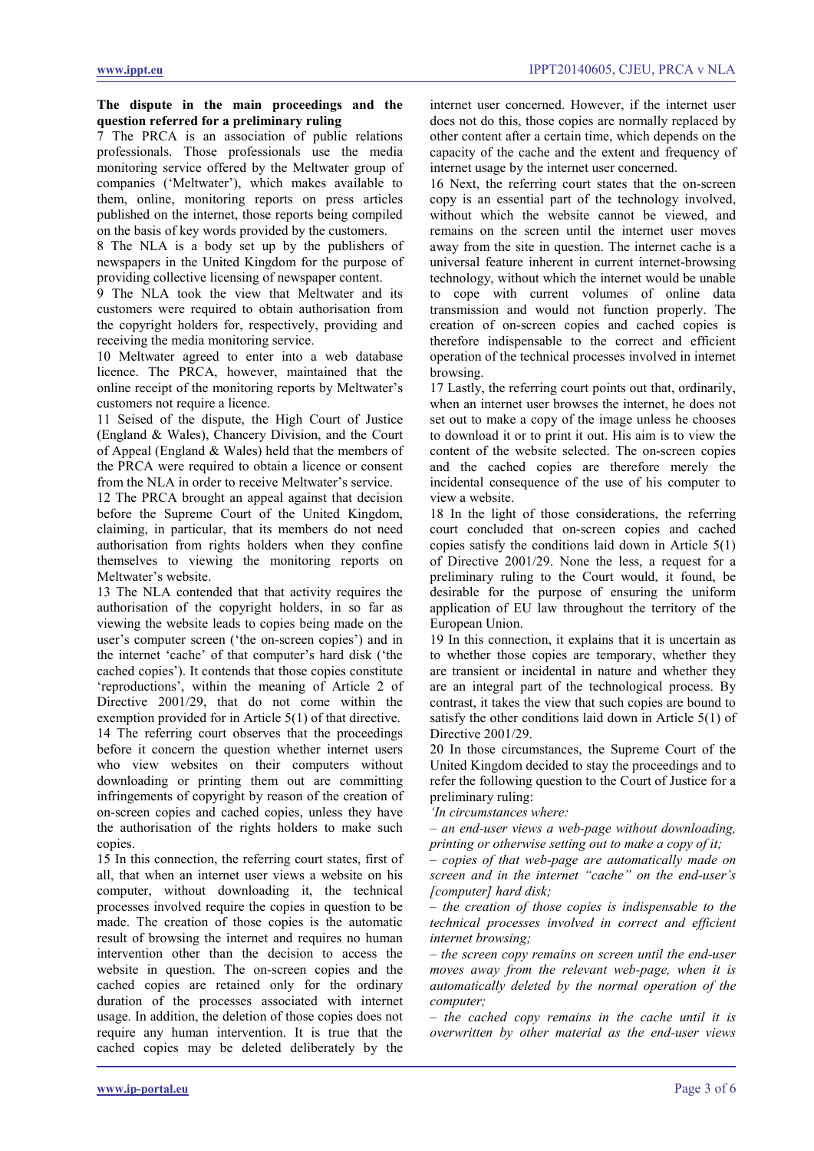#### **The dispute in the main proceedings and the question referred for a preliminary ruling**

7 The PRCA is an association of public relations professionals. Those professionals use the media monitoring service offered by the Meltwater group of companies ('Meltwater'), which makes available to them, online, monitoring reports on press articles published on the internet, those reports being compiled on the basis of key words provided by the customers.

8 The NLA is a body set up by the publishers of newspapers in the United Kingdom for the purpose of providing collective licensing of newspaper content.

9 The NLA took the view that Meltwater and its customers were required to obtain authorisation from the copyright holders for, respectively, providing and receiving the media monitoring service.

10 Meltwater agreed to enter into a web database licence. The PRCA, however, maintained that the online receipt of the monitoring reports by Meltwater's customers not require a licence.

11 Seised of the dispute, the High Court of Justice (England & Wales), Chancery Division, and the Court of Appeal (England & Wales) held that the members of the PRCA were required to obtain a licence or consent from the NLA in order to receive Meltwater's service.

12 The PRCA brought an appeal against that decision before the Supreme Court of the United Kingdom, claiming, in particular, that its members do not need authorisation from rights holders when they confine themselves to viewing the monitoring reports on Meltwater's website.

13 The NLA contended that that activity requires the authorisation of the copyright holders, in so far as viewing the website leads to copies being made on the user's computer screen ('the on-screen copies') and in the internet 'cache' of that computer's hard disk ('the cached copies'). It contends that those copies constitute 'reproductions', within the meaning of Article 2 of Directive 2001/29, that do not come within the exemption provided for in Article 5(1) of that directive. 14 The referring court observes that the proceedings before it concern the question whether internet users who view websites on their computers without downloading or printing them out are committing infringements of copyright by reason of the creation of on-screen copies and cached copies, unless they have the authorisation of the rights holders to make such copies.

15 In this connection, the referring court states, first of all, that when an internet user views a website on his computer, without downloading it, the technical processes involved require the copies in question to be made. The creation of those copies is the automatic result of browsing the internet and requires no human intervention other than the decision to access the website in question. The on-screen copies and the cached copies are retained only for the ordinary duration of the processes associated with internet usage. In addition, the deletion of those copies does not require any human intervention. It is true that the cached copies may be deleted deliberately by the

internet user concerned. However, if the internet user does not do this, those copies are normally replaced by other content after a certain time, which depends on the capacity of the cache and the extent and frequency of internet usage by the internet user concerned.

16 Next, the referring court states that the on-screen copy is an essential part of the technology involved, without which the website cannot be viewed, and remains on the screen until the internet user moves away from the site in question. The internet cache is a universal feature inherent in current internet-browsing technology, without which the internet would be unable to cope with current volumes of online data transmission and would not function properly. The creation of on-screen copies and cached copies is therefore indispensable to the correct and efficient operation of the technical processes involved in internet browsing.

17 Lastly, the referring court points out that, ordinarily, when an internet user browses the internet, he does not set out to make a copy of the image unless he chooses to download it or to print it out. His aim is to view the content of the website selected. The on-screen copies and the cached copies are therefore merely the incidental consequence of the use of his computer to view a website.

18 In the light of those considerations, the referring court concluded that on-screen copies and cached copies satisfy the conditions laid down in Article 5(1) of Directive 2001/29. None the less, a request for a preliminary ruling to the Court would, it found, be desirable for the purpose of ensuring the uniform application of EU law throughout the territory of the European Union.

19 In this connection, it explains that it is uncertain as to whether those copies are temporary, whether they are transient or incidental in nature and whether they are an integral part of the technological process. By contrast, it takes the view that such copies are bound to satisfy the other conditions laid down in Article 5(1) of Directive 2001/29.

20 In those circumstances, the Supreme Court of the United Kingdom decided to stay the proceedings and to refer the following question to the Court of Justice for a preliminary ruling:

*'In circumstances where:*

*– an end-user views a web-page without downloading, printing or otherwise setting out to make a copy of it;*

*– copies of that web-page are automatically made on screen and in the internet "cache" on the end-user's [computer] hard disk;*

*– the creation of those copies is indispensable to the technical processes involved in correct and efficient internet browsing;*

*– the screen copy remains on screen until the end-user moves away from the relevant web-page, when it is automatically deleted by the normal operation of the computer;*

*– the cached copy remains in the cache until it is overwritten by other material as the end-user views*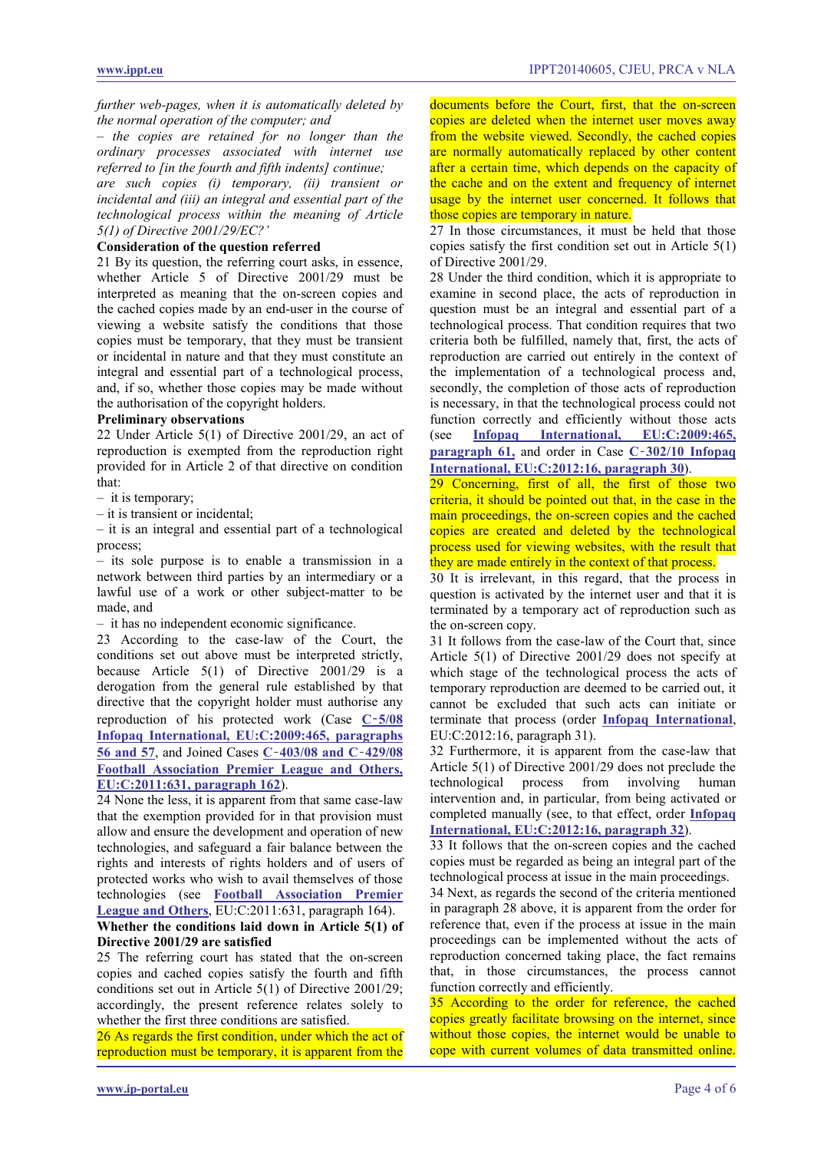*further web-pages, when it is automatically deleted by the normal operation of the computer; and*

*– the copies are retained for no longer than the ordinary processes associated with internet use referred to [in the fourth and fifth indents] continue;*

*are such copies (i) temporary, (ii) transient or incidental and (iii) an integral and essential part of the technological process within the meaning of Article 5(1) of Directive 2001/29/EC?'*

### **Consideration of the question referred**

21 By its question, the referring court asks, in essence, whether Article 5 of Directive 2001/29 must be interpreted as meaning that the on-screen copies and the cached copies made by an end-user in the course of viewing a website satisfy the conditions that those copies must be temporary, that they must be transient or incidental in nature and that they must constitute an integral and essential part of a technological process, and, if so, whether those copies may be made without the authorisation of the copyright holders.

#### **Preliminary observations**

22 Under Article 5(1) of Directive 2001/29, an act of reproduction is exempted from the reproduction right provided for in Article 2 of that directive on condition that:

– it is temporary;

– it is transient or incidental;

– it is an integral and essential part of a technological process;

– its sole purpose is to enable a transmission in a network between third parties by an intermediary or a lawful use of a work or other subject-matter to be made, and

– it has no independent economic significance.

23 According to the case-law of the Court, the conditions set out above must be interpreted strictly, because Article 5(1) of Directive 2001/29 is a derogation from the general rule established by that directive that the copyright holder must authorise any reproduction of his protected work (Case **C**‑**[5/08](http://www.ippt.eu/files/2009/IPPT20090716_ECJ_Infopaq_v_DDF.pdf)  [Infopaq International, EU:C:2009:465, paragraphs](http://www.ippt.eu/files/2009/IPPT20090716_ECJ_Infopaq_v_DDF.pdf)  [56 and 57](http://www.ippt.eu/files/2009/IPPT20090716_ECJ_Infopaq_v_DDF.pdf)**, and Joined Cases **C**‑**[403/08 and C](http://www.ippt.eu/files/2011/IPPT20111004_ECJ_Premier_League.pdf)**‑**429/08 [Football Association Premier League and Others,](http://www.ippt.eu/files/2011/IPPT20111004_ECJ_Premier_League.pdf)  [EU:C:2011:631, paragraph 162](http://www.ippt.eu/files/2011/IPPT20111004_ECJ_Premier_League.pdf)**).

24 None the less, it is apparent from that same case-law that the exemption provided for in that provision must allow and ensure the development and operation of new technologies, and safeguard a fair balance between the rights and interests of rights holders and of users of protected works who wish to avail themselves of those technologies (see **[Football Association Premier](http://www.ippt.eu/files/2011/IPPT20111004_ECJ_Premier_League.pdf)  [League and Others](http://www.ippt.eu/files/2011/IPPT20111004_ECJ_Premier_League.pdf)**, EU:C:2011:631, paragraph 164). **Whether the conditions laid down in Article 5(1) of**

# **Directive 2001/29 are satisfied**

25 The referring court has stated that the on-screen copies and cached copies satisfy the fourth and fifth conditions set out in Article 5(1) of Directive 2001/29; accordingly, the present reference relates solely to whether the first three conditions are satisfied.

<span id="page-3-0"></span>26 As regards the first condition, under which the act of reproduction must be temporary, it is apparent from the

documents before the Court, first, that the on-screen copies are deleted when the internet user moves away from the website viewed. Secondly, the cached copies are normally automatically replaced by other content after a certain time, which depends on the capacity of the cache and on the extent and frequency of internet usage by the internet user concerned. It follows that those copies are temporary in nature.

27 In those circumstances, it must be held that those copies satisfy the first condition set out in Article 5(1) of Directive 2001/29.

28 Under the third condition, which it is appropriate to examine in second place, the acts of reproduction in question must be an integral and essential part of a technological process. That condition requires that two criteria both be fulfilled, namely that, first, the acts of reproduction are carried out entirely in the context of the implementation of a technological process and, secondly, the completion of those acts of reproduction is necessary, in that the technological process could not function correctly and efficiently without those acts (see **[Infopaq International, EU:C:2009:465,](http://www.ippt.eu/files/2009/IPPT20090716_ECJ_Infopaq_v_DDF.pdf)  [paragraph 61,](http://www.ippt.eu/files/2009/IPPT20090716_ECJ_Infopaq_v_DDF.pdf) and order in Case**  $\frac{\text{C}-302}{10}$  **Infopaq [International, EU:C:2012:16, paragraph 30](http://www.ippt.eu/files/2012/IPPT20120117_ECJ_Infopaq_v_DDF.pdf)**).

<span id="page-3-1"></span>29 Concerning, first of all, the first of those two criteria, it should be pointed out that, in the case in the main proceedings, the on-screen copies and the cached copies are created and deleted by the technological process used for viewing websites, with the result that they are made entirely in the context of that process.

30 It is irrelevant, in this regard, that the process in question is activated by the internet user and that it is terminated by a temporary act of reproduction such as the on-screen copy.

31 It follows from the case-law of the Court that, since Article 5(1) of Directive 2001/29 does not specify at which stage of the technological process the acts of temporary reproduction are deemed to be carried out, it cannot be excluded that such acts can initiate or terminate that process (order **[Infopaq International](http://www.ippt.eu/files/2009/IPPT20090716_ECJ_Infopaq_v_DDF.pdf)**, EU:C:2012:16, paragraph 31).

32 Furthermore, it is apparent from the case-law that Article 5(1) of Directive 2001/29 does not preclude the technological process from involving human intervention and, in particular, from being activated or completed manually (see, to that effect, order **[Infopaq](http://www.ippt.eu/files/2012/IPPT20120117_ECJ_Infopaq_v_DDF.pdf)  [International, EU:C:2012:16, paragraph 32](http://www.ippt.eu/files/2012/IPPT20120117_ECJ_Infopaq_v_DDF.pdf)**).

33 It follows that the on-screen copies and the cached copies must be regarded as being an integral part of the technological process at issue in the main proceedings.

34 Next, as regards the second of the criteria mentioned in paragraph 28 above, it is apparent from the order for reference that, even if the process at issue in the main proceedings can be implemented without the acts of reproduction concerned taking place, the fact remains that, in those circumstances, the process cannot function correctly and efficiently.

<span id="page-3-2"></span>35 According to the order for reference, the cached copies greatly facilitate browsing on the internet, since without those copies, the internet would be unable to cope with current volumes of data transmitted online.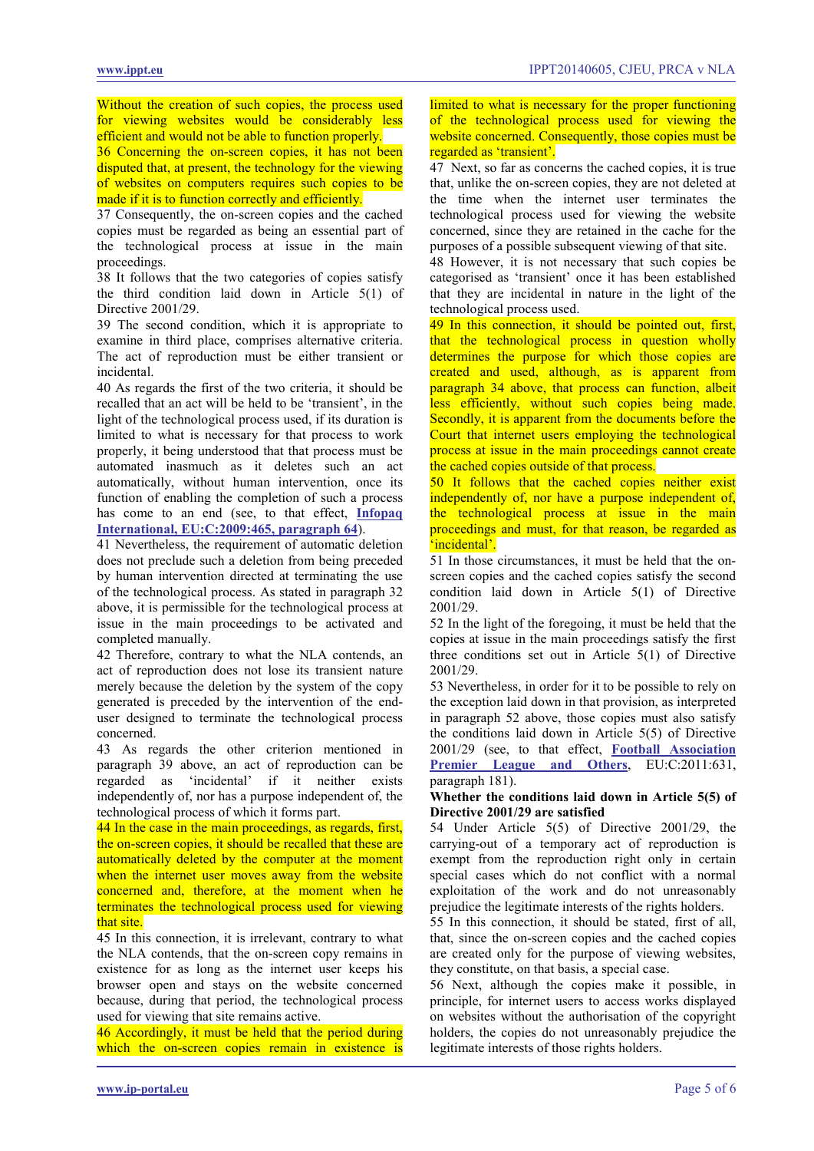Without the creation of such copies, the process used for viewing websites would be considerably less efficient and would not be able to function properly.

<span id="page-4-0"></span>36 Concerning the on-screen copies, it has not been disputed that, at present, the technology for the viewing of websites on computers requires such copies to be made if it is to function correctly and efficiently.

37 Consequently, the on-screen copies and the cached copies must be regarded as being an essential part of the technological process at issue in the main proceedings.

38 It follows that the two categories of copies satisfy the third condition laid down in Article 5(1) of Directive 2001/29.

39 The second condition, which it is appropriate to examine in third place, comprises alternative criteria. The act of reproduction must be either transient or incidental.

40 As regards the first of the two criteria, it should be recalled that an act will be held to be 'transient', in the light of the technological process used, if its duration is limited to what is necessary for that process to work properly, it being understood that that process must be automated inasmuch as it deletes such an act automatically, without human intervention, once its function of enabling the completion of such a process has come to an end (see, to that effect, **[Infopaq](http://www.ippt.eu/files/2009/IPPT20090716_ECJ_Infopaq_v_DDF.pdf)  [International, EU:C:2009:465, paragraph 64](http://www.ippt.eu/files/2009/IPPT20090716_ECJ_Infopaq_v_DDF.pdf)**).

41 Nevertheless, the requirement of automatic deletion does not preclude such a deletion from being preceded by human intervention directed at terminating the use of the technological process. As stated in paragraph 32 above, it is permissible for the technological process at issue in the main proceedings to be activated and completed manually.

42 Therefore, contrary to what the NLA contends, an act of reproduction does not lose its transient nature merely because the deletion by the system of the copy generated is preceded by the intervention of the enduser designed to terminate the technological process concerned.

43 As regards the other criterion mentioned in paragraph 39 above, an act of reproduction can be regarded as 'incidental' if it neither exists independently of, nor has a purpose independent of, the technological process of which it forms part.

<span id="page-4-1"></span>44 In the case in the main proceedings, as regards, first, the on-screen copies, it should be recalled that these are automatically deleted by the computer at the moment when the internet user moves away from the website concerned and, therefore, at the moment when he terminates the technological process used for viewing that site.

45 In this connection, it is irrelevant, contrary to what the NLA contends, that the on-screen copy remains in existence for as long as the internet user keeps his browser open and stays on the website concerned because, during that period, the technological process used for viewing that site remains active.

<span id="page-4-2"></span>46 Accordingly, it must be held that the period during which the on-screen copies remain in existence is

limited to what is necessary for the proper functioning of the technological process used for viewing the website concerned. Consequently, those copies must be regarded as 'transient'.

47 Next, so far as concerns the cached copies, it is true that, unlike the on-screen copies, they are not deleted at the time when the internet user terminates the technological process used for viewing the website concerned, since they are retained in the cache for the purposes of a possible subsequent viewing of that site.

48 However, it is not necessary that such copies be categorised as 'transient' once it has been established that they are incidental in nature in the light of the technological process used.

<span id="page-4-3"></span>49 In this connection, it should be pointed out, first, that the technological process in question wholly determines the purpose for which those copies are created and used, although, as is apparent from paragraph 34 above, that process can function, albeit less efficiently, without such copies being made. Secondly, it is apparent from the documents before the Court that internet users employing the technological process at issue in the main proceedings cannot create the cached copies outside of that process.

<span id="page-4-4"></span>50 It follows that the cached copies neither exist independently of, nor have a purpose independent of, the technological process at issue in the main proceedings and must, for that reason, be regarded as 'incidental'

51 In those circumstances, it must be held that the onscreen copies and the cached copies satisfy the second condition laid down in Article 5(1) of Directive 2001/29.

52 In the light of the foregoing, it must be held that the copies at issue in the main proceedings satisfy the first three conditions set out in Article 5(1) of Directive 2001/29.

53 Nevertheless, in order for it to be possible to rely on the exception laid down in that provision, as interpreted in paragraph 52 above, those copies must also satisfy the conditions laid down in Article 5(5) of Directive 2001/29 (see, to that effect, **[Football Association](http://www.ippt.eu/files/2011/IPPT20111004_ECJ_Premier_League.pdf)  [Premier League and Others](http://www.ippt.eu/files/2011/IPPT20111004_ECJ_Premier_League.pdf)**, EU:C:2011:631, paragraph 181).

#### **Whether the conditions laid down in Article 5(5) of Directive 2001/29 are satisfied**

54 Under Article 5(5) of Directive 2001/29, the carrying-out of a temporary act of reproduction is exempt from the reproduction right only in certain special cases which do not conflict with a normal exploitation of the work and do not unreasonably prejudice the legitimate interests of the rights holders.

55 In this connection, it should be stated, first of all, that, since the on-screen copies and the cached copies are created only for the purpose of viewing websites, they constitute, on that basis, a special case.

56 Next, although the copies make it possible, in principle, for internet users to access works displayed on websites without the authorisation of the copyright holders, the copies do not unreasonably prejudice the legitimate interests of those rights holders.